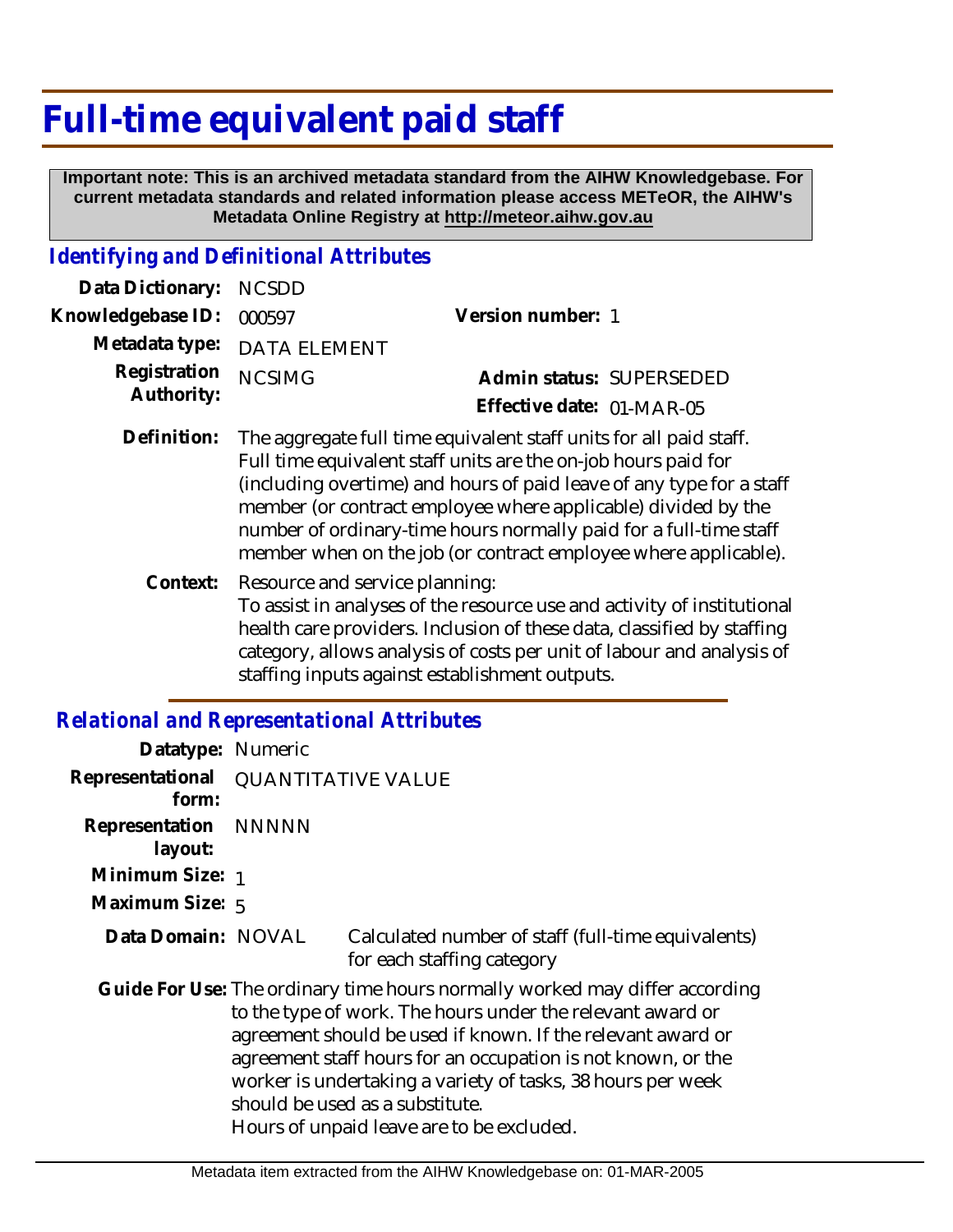# **Full-time equivalent paid staff**

 **Important note: This is an archived metadata standard from the AIHW Knowledgebase. For current metadata standards and related information please access METeOR, the AIHW's Metadata Online Registry at http://meteor.aihw.gov.au**

### *Identifying and Definitional Attributes*

| Data Dictionary: NCSDD   |                                                                              |                           |                          |
|--------------------------|------------------------------------------------------------------------------|---------------------------|--------------------------|
| Knowledgebase ID: 000597 |                                                                              | Version number: 1         |                          |
|                          | Metadata type: DATA ELEMENT                                                  |                           |                          |
| Registration NCSIMG      |                                                                              |                           | Admin status: SUPERSEDED |
| Authority:               |                                                                              | Effective date: 01-MAR-05 |                          |
|                          | Definition. The componente full times coulominate the found projected at aff |                           |                          |

- Definition: The aggregate full time equivalent staff units for all paid staff. Full time equivalent staff units are the on-job hours paid for (including overtime) and hours of paid leave of any type for a staff member (or contract employee where applicable) divided by the number of ordinary-time hours normally paid for a full-time staff member when on the job (or contract employee where applicable).
	- Resource and service planning: To assist in analyses of the resource use and activity of institutional health care providers. Inclusion of these data, classified by staffing category, allows analysis of costs per unit of labour and analysis of staffing inputs against establishment outputs. **Context:**

### *Relational and Representational Attributes*

| Datatype: Numeric                            |                                                                                                                                                                                                                                                                                                                                                                                                                         |
|----------------------------------------------|-------------------------------------------------------------------------------------------------------------------------------------------------------------------------------------------------------------------------------------------------------------------------------------------------------------------------------------------------------------------------------------------------------------------------|
| Representational QUANTITATIVE VALUE<br>form: |                                                                                                                                                                                                                                                                                                                                                                                                                         |
| Representation NNNNN<br>layout:              |                                                                                                                                                                                                                                                                                                                                                                                                                         |
| Minimum Size: 1                              |                                                                                                                                                                                                                                                                                                                                                                                                                         |
| Maximum Size: 5                              |                                                                                                                                                                                                                                                                                                                                                                                                                         |
| Data Domain: NOVAL                           | Calculated number of staff (full-time equivalents)<br>for each staffing category                                                                                                                                                                                                                                                                                                                                        |
|                                              | Guide For Use: The ordinary time hours normally worked may differ according<br>to the type of work. The hours under the relevant award or<br>agreement should be used if known. If the relevant award or<br>agreement staff hours for an occupation is not known, or the<br>worker is undertaking a variety of tasks, 38 hours per week<br>should be used as a substitute.<br>Hours of unpaid leave are to be excluded. |